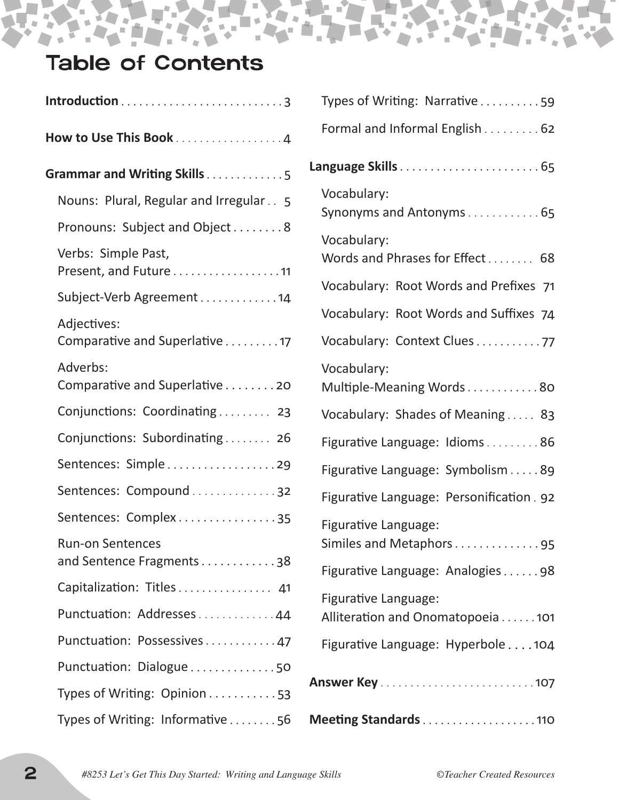# Table of Contents

 $\blacksquare$ 

N

×

Ė

| How to Use This Book 4                              |
|-----------------------------------------------------|
| Grammar and Writing Skills5                         |
| Nouns: Plural, Regular and Irregular 5              |
| Pronouns: Subject and Object 8                      |
| Verbs: Simple Past,<br>Present, and Future 11       |
| Subject-Verb Agreement 14                           |
| Adjectives:<br>Comparative and Superlative 17       |
| Adverbs:<br>Comparative and Superlative 20          |
| Conjunctions: Coordinating 23                       |
| Conjunctions: Subordinating 26                      |
| Sentences: Simple29                                 |
| Sentences: Compound32                               |
| Sentences: Complex35                                |
| <b>Run-on Sentences</b><br>and Sentence Fragments38 |
| Capitalization: Titles 41                           |
| Punctuation: Addresses44                            |
| Punctuation: Possessives47                          |
| Punctuation: Dialogue50                             |
| Types of Writing: Opinion 53                        |
| Types of Writing: Informative 56                    |

| Types of Writing: Narrative59                            |
|----------------------------------------------------------|
| Formal and Informal English 62                           |
|                                                          |
| Vocabulary:<br>Synonyms and Antonyms65                   |
| Vocabulary:<br>Words and Phrases for Effect 68           |
| Vocabulary: Root Words and Prefixes 71                   |
| Vocabulary: Root Words and Suffixes 74                   |
| Vocabulary: Context Clues77                              |
| Vocabulary:<br>Multiple-Meaning Words80                  |
| Vocabulary: Shades of Meaning 83                         |
| Figurative Language: Idioms86                            |
| Figurative Language: Symbolism 89                        |
| Figurative Language: Personification. 92                 |
| Figurative Language:<br>Similes and Metaphors95          |
| Figurative Language: Analogies98                         |
| Figurative Language:<br>Alliteration and Onomatopoeia101 |
| Figurative Language: Hyperbole 104                       |
|                                                          |
| Meeting Standards110                                     |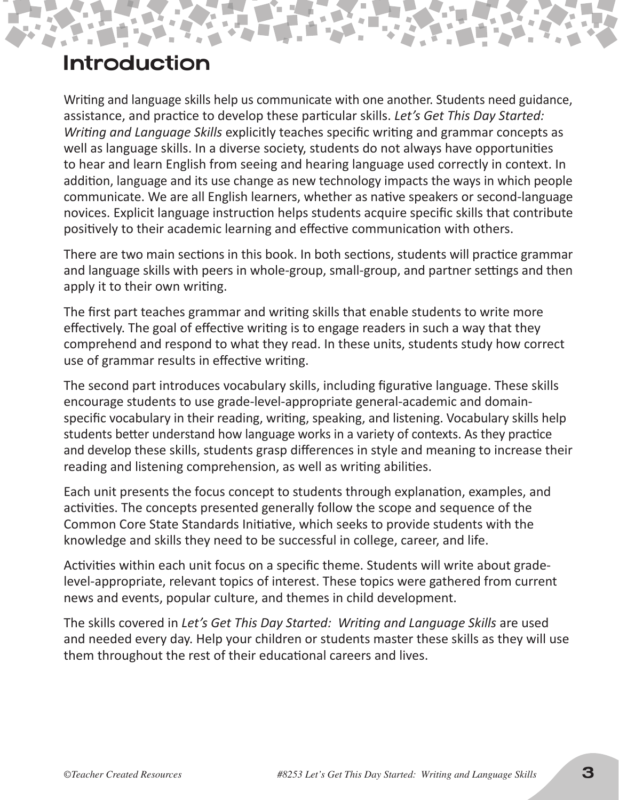### Introduction

Writing and language skills help us communicate with one another. Students need guidance, assistance, and practice to develop these particular skills. *Let's Get This Day Started: Writing and Language Skills* explicitly teaches specific writing and grammar concepts as well as language skills. In a diverse society, students do not always have opportunities to hear and learn English from seeing and hearing language used correctly in context. In addition, language and its use change as new technology impacts the ways in which people communicate. We are all English learners, whether as native speakers or second-language novices. Explicit language instruction helps students acquire specific skills that contribute positively to their academic learning and effective communication with others.

There are two main sections in this book. In both sections, students will practice grammar and language skills with peers in whole-group, small-group, and partner settings and then apply it to their own writing.

The first part teaches grammar and writing skills that enable students to write more effectively. The goal of effective writing is to engage readers in such a way that they comprehend and respond to what they read. In these units, students study how correct use of grammar results in effective writing.

The second part introduces vocabulary skills, including figurative language. These skills encourage students to use grade-level-appropriate general-academic and domainspecific vocabulary in their reading, writing, speaking, and listening. Vocabulary skills help students better understand how language works in a variety of contexts. As they practice and develop these skills, students grasp differences in style and meaning to increase their reading and listening comprehension, as well as writing abilities.

Each unit presents the focus concept to students through explanation, examples, and activities. The concepts presented generally follow the scope and sequence of the Common Core State Standards Initiative, which seeks to provide students with the knowledge and skills they need to be successful in college, career, and life.

Activities within each unit focus on a specific theme. Students will write about gradelevel-appropriate, relevant topics of interest. These topics were gathered from current news and events, popular culture, and themes in child development.

The skills covered in *Let's Get This Day Started: Writing and Language Skills* are used and needed every day. Help your children or students master these skills as they will use them throughout the rest of their educational careers and lives.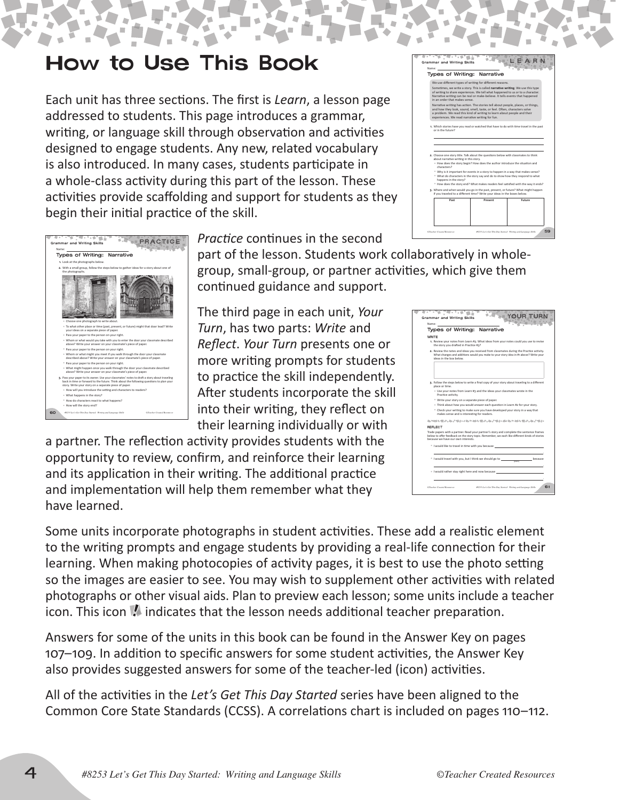## How to Use This Book

Each unit has three sections. The first is *Learn*, a lesson page addressed to students. This page introduces a grammar, writing, or language skill through observation and activities designed to engage students. Any new, related vocabulary is also introduced. In many cases, students participate in a whole-class activity during this part of the lesson. These activities provide scaffolding and support for students as they begin their initial practice of the skill.

| Types of Writing:                                                              | Narrative                                                                                                                                                                                                                                                                                                                                                                                                                                                                                                                                                                                                   |
|--------------------------------------------------------------------------------|-------------------------------------------------------------------------------------------------------------------------------------------------------------------------------------------------------------------------------------------------------------------------------------------------------------------------------------------------------------------------------------------------------------------------------------------------------------------------------------------------------------------------------------------------------------------------------------------------------------|
| in an order that makes sense                                                   | We use different types of writing for different reasons.<br>Sometimes, we write a story. This is called narrative writing. We use this type<br>of writing to share experiences. We tell what happened to us or to a character.<br>Narrative writing can be real or make-believe. It tells events that happened<br>Narrative writing has action. The stories tell about people, places, or things,<br>and how they look, sound, smell, taste, or feel. Often, characters solve<br>a problem. We read this kind of writing to learn about people and their<br>experiences. We read narrative writing for fun. |
| or in the future?                                                              | 1. Which stories have you read or watched that have to do with time travel in the past                                                                                                                                                                                                                                                                                                                                                                                                                                                                                                                      |
|                                                                                |                                                                                                                                                                                                                                                                                                                                                                                                                                                                                                                                                                                                             |
| about narrative writing in this story.<br>characters?<br>happens in the story? | 2. Choose one story title. Talk about the questions below with classmates to think<br><sup>=</sup> How does the story begin? How does the author introduce the situation and<br>- Why is it important for events in a story to happen in a way that makes sense?<br>* What do characters in the story say and do to show how they respond to what                                                                                                                                                                                                                                                           |
|                                                                                | - How does the story end? What makes readers feel satisfied with the way it ends?<br>3. Where and when would you go in the past, present, or future? What might happen<br>if you traveled to a different time? Write your ideas in the boxes below.                                                                                                                                                                                                                                                                                                                                                         |



*Practice* continues in the second

part of the lesson. Students work collaboratively in wholegroup, small-group, or partner activities, which give them continued guidance and support.

The third page in each unit, *Your Turn*, has two parts: *Write* and *Reflect*. *Your Turn* presents one or more writing prompts for students to practice the skill independently. After students incorporate the skill into their writing, they reflect on their learning individually or with

a partner. The reflection activity provides students with the opportunity to review, confirm, and reinforce their learning and its application in their writing. The additional practice and implementation will help them remember what they have learned.

Some units incorporate photographs in student activities. These add a realistic element to the writing prompts and engage students by providing a real-life connection for their learning. When making photocopies of activity pages, it is best to use the photo setting so the images are easier to see. You may wish to supplement other activities with related photographs or other visual aids. Plan to preview each lesson; some units include a teacher icon. This icon  $\blacksquare$  indicates that the lesson needs additional teacher preparation.

Answers for some of the units in this book can be found in the Answer Key on pages 107–109. In addition to specific answers for some student activities, the Answer Key also provides suggested answers for some of the teacher-led (icon) activities.

All of the activities in the *Let's Get This Day Started* series have been aligned to the Common Core State Standards (CCSS). A correlations chart is included on pages 110–112.

| Name:                                                                                                                                                                                                                                    |
|------------------------------------------------------------------------------------------------------------------------------------------------------------------------------------------------------------------------------------------|
| <b>Types of Writing: Narrative</b>                                                                                                                                                                                                       |
| WRITE                                                                                                                                                                                                                                    |
| 1. Review your notes from Learn #3. What ideas from your notes could you use to revise<br>the story you drafted in Practice #3?                                                                                                          |
| 2. Review the notes and ideas you received from classmates during the Practice activity.<br>What changes and additions would you make to your story idea in #1 above? Write your<br>ideas in the box below                               |
| 3. Follow the steps below to write a final copy of your story about traveling to a different<br>place or time.                                                                                                                           |
| " Use your notes from Learn #3 and the ideas your classmates wrote in the<br>Practice activity.                                                                                                                                          |
| - Write your story on a separate piece of paper.                                                                                                                                                                                         |
| <sup>=</sup> Think about how you would answer each question in Learn #2 for your story.                                                                                                                                                  |
| - Check your writing to make sure you have developed your story in a way that<br>makes sense and is interesting for readers.                                                                                                             |
| 机加热发射式 化式喷射式机开始发射式 机式喷射器化炉机开始发射式 机式喷扫                                                                                                                                                                                                    |
| REFLECT<br>Trade papers with a partner. Read your partner's story and complete the sentence frames<br>below to offer feedback on the story topic. Remember, we each like different kinds of stories<br>because we have our own interests |
| <sup>-</sup> I would like to travel in time with you because                                                                                                                                                                             |
| - I would travel with you, but I think we should go to<br>hecause                                                                                                                                                                        |
| - I would rather stay right here and now because                                                                                                                                                                                         |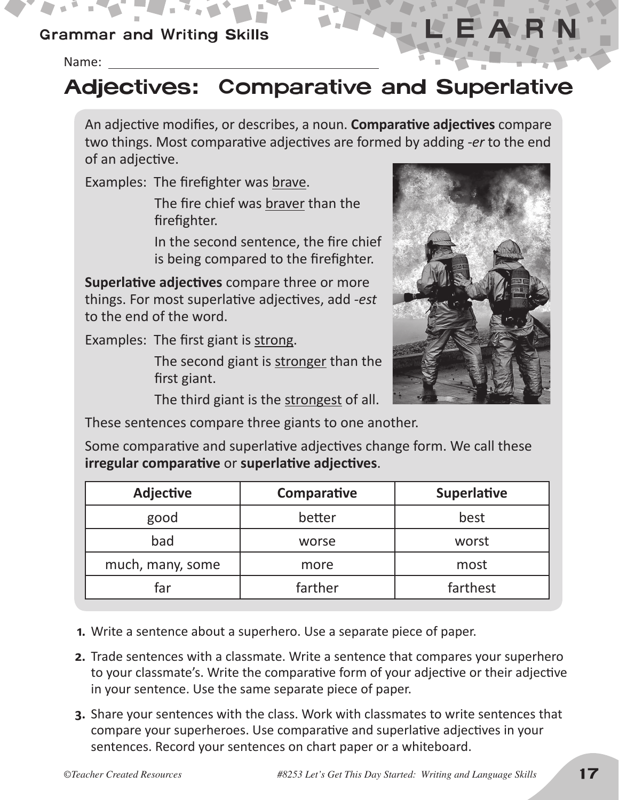#### Grammar and Writing Skills

Name:

# Adjectives: Comparative and Superlative

An adjective modifies, or describes, a noun. **Comparative adjectives** compare two things. Most comparative adjectives are formed by adding *-er* to the end of an adjective.

Examples: The firefighter was brave.

The fire chief was braver than the firefighter.

In the second sentence, the fire chief is being compared to the firefighter.

**Superlative adjectives** compare three or more things. For most superlative adjectives, add *-est*  to the end of the word.

Examples: The first giant is strong.

The second giant is stronger than the first giant.

The third giant is the strongest of all.

These sentences compare three giants to one another.

Some comparative and superlative adjectives change form. We call these **irregular comparative** or **superlative adjectives**.

| <b>Adjective</b> | Comparative | <b>Superlative</b> |
|------------------|-------------|--------------------|
| good             | better      | best               |
| bad              | worse       | worst              |
| much, many, some | more        | most               |
| far              | farther     | farthest           |

- **1.** Write a sentence about a superhero. Use a separate piece of paper.
- **2.** Trade sentences with a classmate. Write a sentence that compares your superhero to your classmate's. Write the comparative form of your adjective or their adjective in your sentence. Use the same separate piece of paper.
- **3.** Share your sentences with the class. Work with classmates to write sentences that compare your superheroes. Use comparative and superlative adjectives in your sentences. Record your sentences on chart paper or a whiteboard.

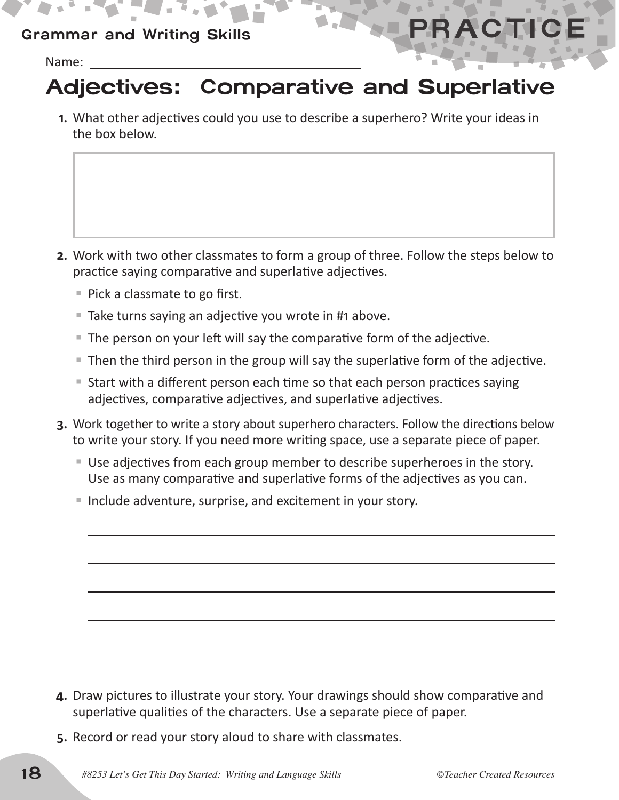### Grammar and Writing Skills **PRACTI**

Name:

# Adjectives: Comparative and Superlative

**1.** What other adjectives could you use to describe a superhero? Write your ideas in the box below.

- **2.** Work with two other classmates to form a group of three. Follow the steps below to practice saying comparative and superlative adjectives.
	- $\blacksquare$  Pick a classmate to go first.
	- Take turns saying an adjective you wrote in #1 above.
	- The person on your left will say the comparative form of the adjective.
	- Then the third person in the group will say the superlative form of the adjective.
	- Start with a different person each time so that each person practices saying adjectives, comparative adjectives, and superlative adjectives.
- **3.** Work together to write a story about superhero characters. Follow the directions below to write your story. If you need more writing space, use a separate piece of paper.
	- Use adjectives from each group member to describe superheroes in the story. Use as many comparative and superlative forms of the adjectives as you can.
	- Include adventure, surprise, and excitement in your story.

- **4.** Draw pictures to illustrate your story. Your drawings should show comparative and superlative qualities of the characters. Use a separate piece of paper.
- **5.** Record or read your story aloud to share with classmates.